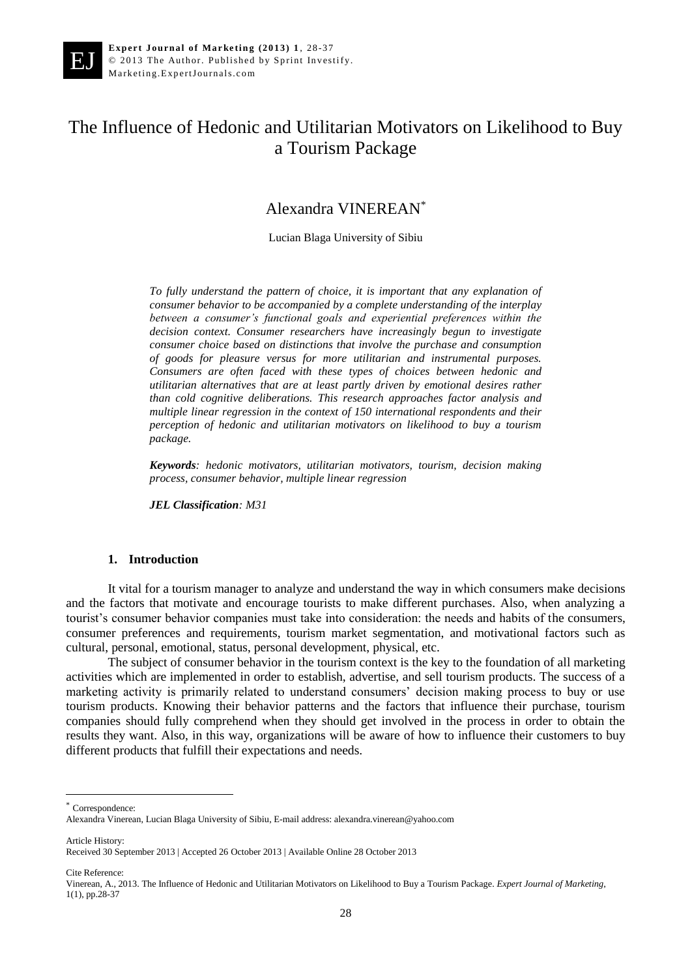EJ

# The Influence of Hedonic and Utilitarian Motivators on Likelihood to Buy a Tourism Package

## Alexandra VINEREAN\*

Lucian Blaga University of Sibiu

*To fully understand the pattern of choice, it is important that any explanation of consumer behavior to be accompanied by a complete understanding of the interplay between a consumer's functional goals and experiential preferences within the decision context. Consumer researchers have increasingly begun to investigate consumer choice based on distinctions that involve the purchase and consumption of goods for pleasure versus for more utilitarian and instrumental purposes. Consumers are often faced with these types of choices between hedonic and utilitarian alternatives that are at least partly driven by emotional desires rather than cold cognitive deliberations. This research approaches factor analysis and multiple linear regression in the context of 150 international respondents and their perception of hedonic and utilitarian motivators on likelihood to buy a tourism package.*

*Keywords: hedonic motivators, utilitarian motivators, tourism, decision making process, consumer behavior, multiple linear regression*

*JEL Classification: M31*

#### **1. Introduction**

It vital for a tourism manager to analyze and understand the way in which consumers make decisions and the factors that motivate and encourage tourists to make different purchases. Also, when analyzing a tourist's consumer behavior companies must take into consideration: the needs and habits of the consumers, consumer preferences and requirements, tourism market segmentation, and motivational factors such as cultural, personal, emotional, status, personal development, physical, etc.

The subject of consumer behavior in the tourism context is the key to the foundation of all marketing activities which are implemented in order to establish, advertise, and sell tourism products. The success of a marketing activity is primarily related to understand consumers' decision making process to buy or use tourism products. Knowing their behavior patterns and the factors that influence their purchase, tourism companies should fully comprehend when they should get involved in the process in order to obtain the results they want. Also, in this way, organizations will be aware of how to influence their customers to buy different products that fulfill their expectations and needs.

Article History:

 $\overline{a}$ 

Cite Reference:

Correspondence:

Alexandra Vinerean, Lucian Blaga University of Sibiu, E-mail address: alexandra.vinerean@yahoo.com

Received 30 September 2013 | Accepted 26 October 2013 | Available Online 28 October 2013

Vinerean, A., 2013. The Influence of Hedonic and Utilitarian Motivators on Likelihood to Buy a Tourism Package. *Expert Journal of Marketing*, 1(1), pp.28-37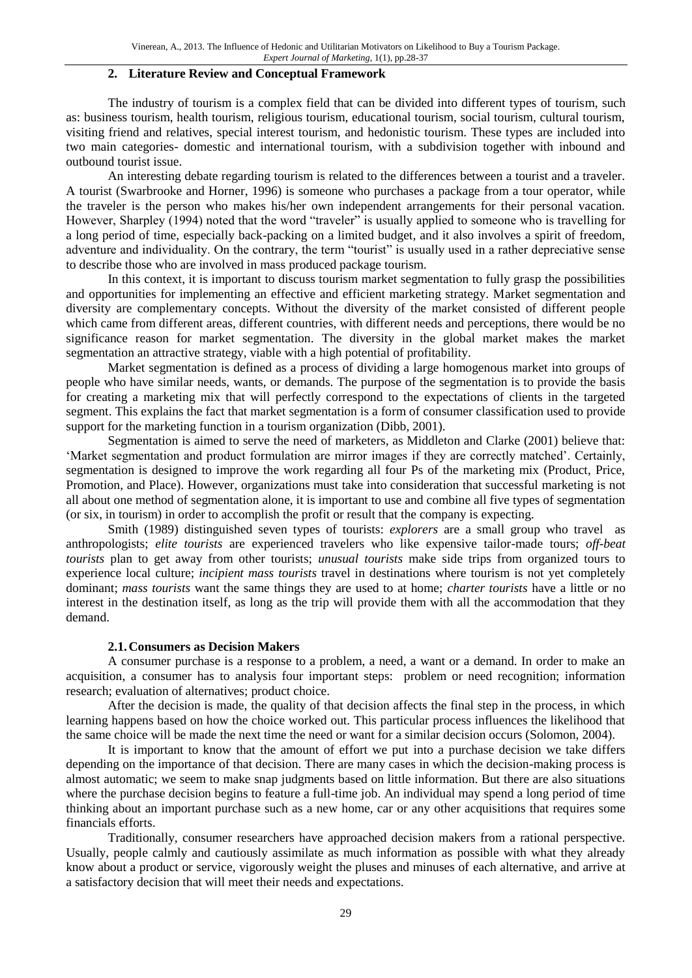#### **2. Literature Review and Conceptual Framework**

The industry of tourism is a complex field that can be divided into different types of tourism, such as: business tourism, health tourism, religious tourism, educational tourism, social tourism, cultural tourism, visiting friend and relatives, special interest tourism, and hedonistic tourism. These types are included into two main categories- domestic and international tourism, with a subdivision together with inbound and outbound tourist issue.

An interesting debate regarding tourism is related to the differences between a tourist and a traveler. A tourist (Swarbrooke and Horner, 1996) is someone who purchases a package from a tour operator, while the traveler is the person who makes his/her own independent arrangements for their personal vacation. However, Sharpley (1994) noted that the word "traveler" is usually applied to someone who is travelling for a long period of time, especially back-packing on a limited budget, and it also involves a spirit of freedom, adventure and individuality. On the contrary, the term "tourist" is usually used in a rather depreciative sense to describe those who are involved in mass produced package tourism.

In this context, it is important to discuss tourism market segmentation to fully grasp the possibilities and opportunities for implementing an effective and efficient marketing strategy. Market segmentation and diversity are complementary concepts. Without the diversity of the market consisted of different people which came from different areas, different countries, with different needs and perceptions, there would be no significance reason for market segmentation. The diversity in the global market makes the market segmentation an attractive strategy, viable with a high potential of profitability.

Market segmentation is defined as a process of dividing a large homogenous market into groups of people who have similar needs, wants, or demands. The purpose of the segmentation is to provide the basis for creating a marketing mix that will perfectly correspond to the expectations of clients in the targeted segment. This explains the fact that market segmentation is a form of consumer classification used to provide support for the marketing function in a tourism organization (Dibb, 2001).

Segmentation is aimed to serve the need of marketers, as Middleton and Clarke (2001) believe that: 'Market segmentation and product formulation are mirror images if they are correctly matched'. Certainly, segmentation is designed to improve the work regarding all four Ps of the marketing mix (Product, Price, Promotion, and Place). However, organizations must take into consideration that successful marketing is not all about one method of segmentation alone, it is important to use and combine all five types of segmentation (or six, in tourism) in order to accomplish the profit or result that the company is expecting.

Smith (1989) distinguished seven types of tourists: *explorers* are a small group who travel as anthropologists; *elite tourists* are experienced travelers who like expensive tailor-made tours; *off-beat tourists* plan to get away from other tourists; *unusual tourists* make side trips from organized tours to experience local culture; *incipient mass tourists* travel in destinations where tourism is not yet completely dominant; *mass tourists* want the same things they are used to at home; *charter tourists* have a little or no interest in the destination itself, as long as the trip will provide them with all the accommodation that they demand.

#### **2.1.Consumers as Decision Makers**

A consumer purchase is a response to a problem, a need, a want or a demand. In order to make an acquisition, a consumer has to analysis four important steps: problem or need recognition; information research; evaluation of alternatives; product choice.

After the decision is made, the quality of that decision affects the final step in the process, in which learning happens based on how the choice worked out. This particular process influences the likelihood that the same choice will be made the next time the need or want for a similar decision occurs (Solomon, 2004).

It is important to know that the amount of effort we put into a purchase decision we take differs depending on the importance of that decision. There are many cases in which the decision-making process is almost automatic; we seem to make snap judgments based on little information. But there are also situations where the purchase decision begins to feature a full-time job. An individual may spend a long period of time thinking about an important purchase such as a new home, car or any other acquisitions that requires some financials efforts.

Traditionally, consumer researchers have approached decision makers from a rational perspective. Usually, people calmly and cautiously assimilate as much information as possible with what they already know about a product or service, vigorously weight the pluses and minuses of each alternative, and arrive at a satisfactory decision that will meet their needs and expectations.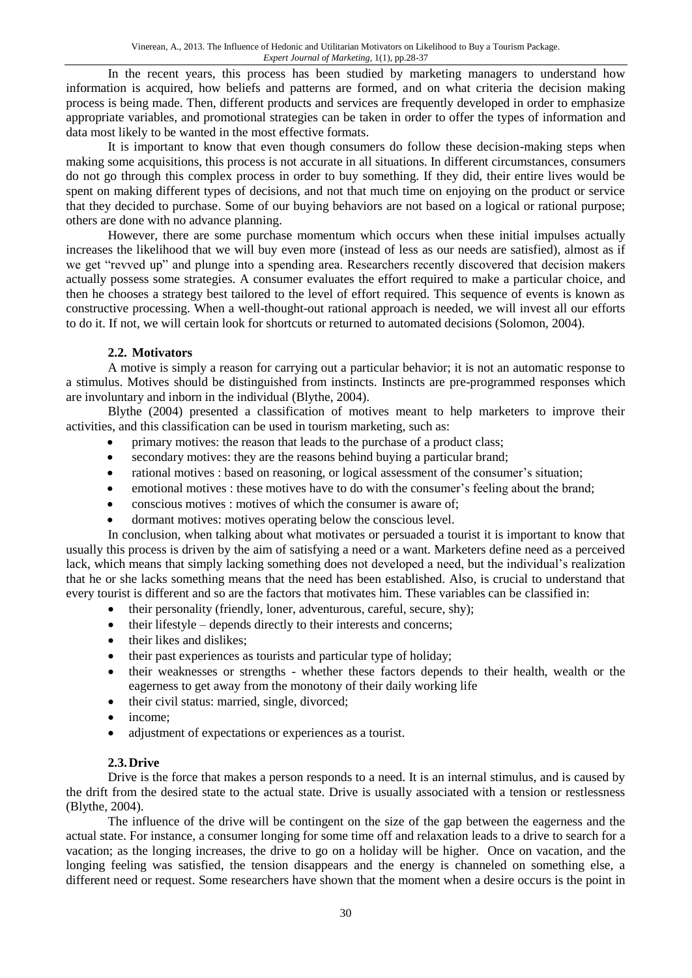In the recent years, this process has been studied by marketing managers to understand how information is acquired, how beliefs and patterns are formed, and on what criteria the decision making process is being made. Then, different products and services are frequently developed in order to emphasize appropriate variables, and promotional strategies can be taken in order to offer the types of information and data most likely to be wanted in the most effective formats.

It is important to know that even though consumers do follow these decision-making steps when making some acquisitions, this process is not accurate in all situations. In different circumstances, consumers do not go through this complex process in order to buy something. If they did, their entire lives would be spent on making different types of decisions, and not that much time on enjoying on the product or service that they decided to purchase. Some of our buying behaviors are not based on a logical or rational purpose; others are done with no advance planning.

However, there are some purchase momentum which occurs when these initial impulses actually increases the likelihood that we will buy even more (instead of less as our needs are satisfied), almost as if we get "revved up" and plunge into a spending area. Researchers recently discovered that decision makers actually possess some strategies. A consumer evaluates the effort required to make a particular choice, and then he chooses a strategy best tailored to the level of effort required. This sequence of events is known as constructive processing. When a well-thought-out rational approach is needed, we will invest all our efforts to do it. If not, we will certain look for shortcuts or returned to automated decisions (Solomon, 2004).

### **2.2. Motivators**

A motive is simply a reason for carrying out a particular behavior; it is not an automatic response to a stimulus. Motives should be distinguished from instincts. Instincts are pre-programmed responses which are involuntary and inborn in the individual (Blythe, 2004).

Blythe (2004) presented a classification of motives meant to help marketers to improve their activities, and this classification can be used in tourism marketing, such as:

- primary motives: the reason that leads to the purchase of a product class;
- secondary motives: they are the reasons behind buying a particular brand;
- rational motives : based on reasoning, or logical assessment of the consumer's situation;
- emotional motives : these motives have to do with the consumer's feeling about the brand;
- conscious motives : motives of which the consumer is aware of;
- dormant motives: motives operating below the conscious level.

In conclusion, when talking about what motivates or persuaded a tourist it is important to know that usually this process is driven by the aim of satisfying a need or a want. Marketers define need as a perceived lack, which means that simply lacking something does not developed a need, but the individual's realization that he or she lacks something means that the need has been established. Also, is crucial to understand that every tourist is different and so are the factors that motivates him. These variables can be classified in:

- their personality (friendly, loner, adventurous, careful, secure, shy);
- their lifestyle depends directly to their interests and concerns;
- their likes and dislikes;
- their past experiences as tourists and particular type of holiday;
- their weaknesses or strengths whether these factors depends to their health, wealth or the eagerness to get away from the monotony of their daily working life
- their civil status: married, single, divorced;
- income;
- adjustment of expectations or experiences as a tourist.

#### **2.3.Drive**

Drive is the force that makes a person responds to a need. It is an internal stimulus, and is caused by the drift from the desired state to the actual state. Drive is usually associated with a tension or restlessness (Blythe, 2004).

The influence of the drive will be contingent on the size of the gap between the eagerness and the actual state. For instance, a consumer longing for some time off and relaxation leads to a drive to search for a vacation; as the longing increases, the drive to go on a holiday will be higher. Once on vacation, and the longing feeling was satisfied, the tension disappears and the energy is channeled on something else, a different need or request. Some researchers have shown that the moment when a desire occurs is the point in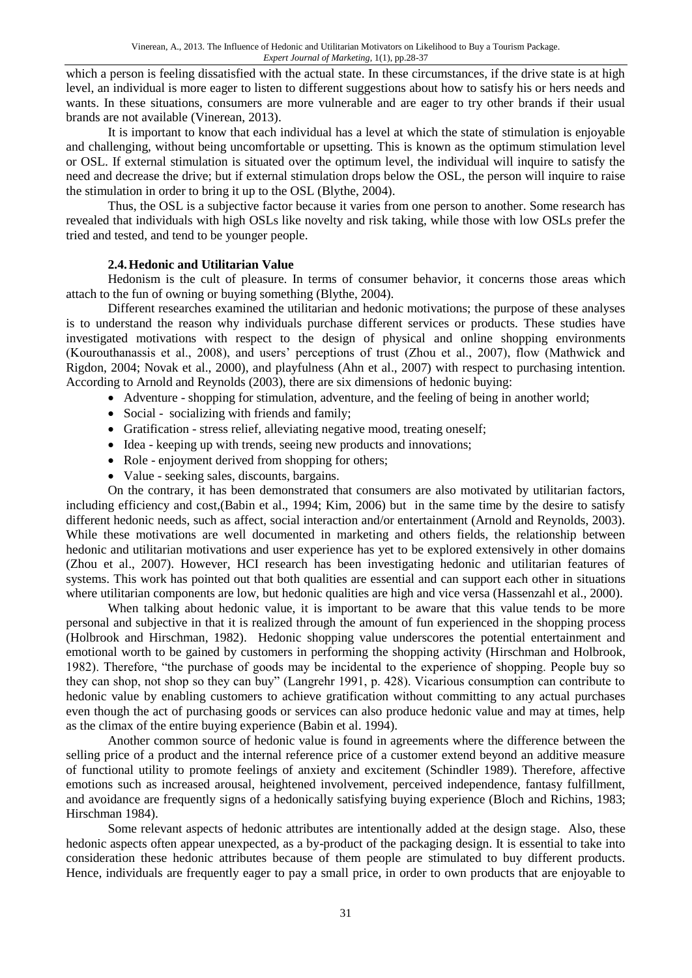which a person is feeling dissatisfied with the actual state. In these circumstances, if the drive state is at high level, an individual is more eager to listen to different suggestions about how to satisfy his or hers needs and wants. In these situations, consumers are more vulnerable and are eager to try other brands if their usual brands are not available (Vinerean, 2013).

It is important to know that each individual has a level at which the state of stimulation is enjoyable and challenging, without being uncomfortable or upsetting. This is known as the optimum stimulation level or OSL. If external stimulation is situated over the optimum level, the individual will inquire to satisfy the need and decrease the drive; but if external stimulation drops below the OSL, the person will inquire to raise the stimulation in order to bring it up to the OSL (Blythe, 2004).

Thus, the OSL is a subjective factor because it varies from one person to another. Some research has revealed that individuals with high OSLs like novelty and risk taking, while those with low OSLs prefer the tried and tested, and tend to be younger people.

### **2.4.Hedonic and Utilitarian Value**

Hedonism is the cult of pleasure. In terms of consumer behavior, it concerns those areas which attach to the fun of owning or buying something (Blythe, 2004).

Different researches examined the utilitarian and hedonic motivations; the purpose of these analyses is to understand the reason why individuals purchase different services or products. These studies have investigated motivations with respect to the design of physical and online shopping environments (Kourouthanassis et al., 2008), and users' perceptions of trust (Zhou et al., 2007), flow (Mathwick and Rigdon, 2004; Novak et al., 2000), and playfulness (Ahn et al., 2007) with respect to purchasing intention. According to Arnold and Reynolds (2003), there are six dimensions of hedonic buying:

Adventure - shopping for stimulation, adventure, and the feeling of being in another world;

- Social socializing with friends and family;
- Gratification stress relief, alleviating negative mood, treating oneself;
- Idea keeping up with trends, seeing new products and innovations;
- Role enjoyment derived from shopping for others;
- Value seeking sales, discounts, bargains.

On the contrary, it has been demonstrated that consumers are also motivated by utilitarian factors, including efficiency and cost,(Babin et al., 1994; Kim, 2006) but in the same time by the desire to satisfy different hedonic needs, such as affect, social interaction and/or entertainment (Arnold and Reynolds, 2003). While these motivations are well documented in marketing and others fields, the relationship between hedonic and utilitarian motivations and user experience has yet to be explored extensively in other domains (Zhou et al., 2007). However, HCI research has been investigating hedonic and utilitarian features of systems. This work has pointed out that both qualities are essential and can support each other in situations where utilitarian components are low, but hedonic qualities are high and vice versa (Hassenzahl et al., 2000).

When talking about hedonic value, it is important to be aware that this value tends to be more personal and subjective in that it is realized through the amount of fun experienced in the shopping process (Holbrook and Hirschman, 1982). Hedonic shopping value underscores the potential entertainment and emotional worth to be gained by customers in performing the shopping activity (Hirschman and Holbrook, 1982). Therefore, "the purchase of goods may be incidental to the experience of shopping. People buy so they can shop, not shop so they can buy" (Langrehr 1991, p. 428). Vicarious consumption can contribute to hedonic value by enabling customers to achieve gratification without committing to any actual purchases even though the act of purchasing goods or services can also produce hedonic value and may at times, help as the climax of the entire buying experience (Babin et al. 1994).

Another common source of hedonic value is found in agreements where the difference between the selling price of a product and the internal reference price of a customer extend beyond an additive measure of functional utility to promote feelings of anxiety and excitement (Schindler 1989). Therefore, affective emotions such as increased arousal, heightened involvement, perceived independence, fantasy fulfillment, and avoidance are frequently signs of a hedonically satisfying buying experience (Bloch and Richins, 1983; Hirschman 1984).

Some relevant aspects of hedonic attributes are intentionally added at the design stage. Also, these hedonic aspects often appear unexpected, as a by-product of the packaging design. It is essential to take into consideration these hedonic attributes because of them people are stimulated to buy different products. Hence, individuals are frequently eager to pay a small price, in order to own products that are enjoyable to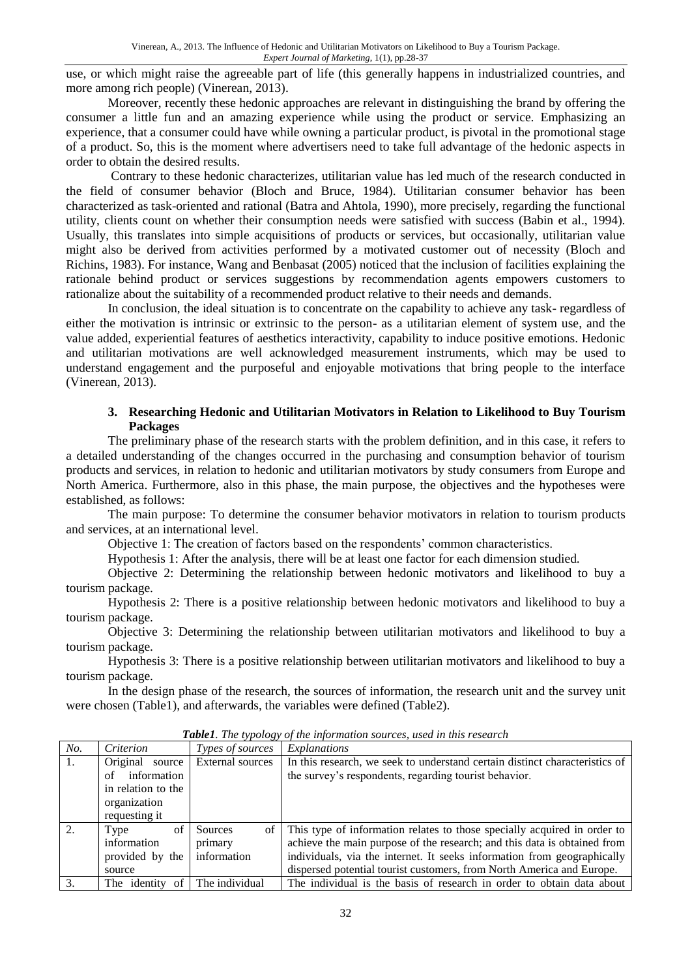use, or which might raise the agreeable part of life (this generally happens in industrialized countries, and more among rich people) (Vinerean, 2013).

Moreover, recently these hedonic approaches are relevant in distinguishing the brand by offering the consumer a little fun and an amazing experience while using the product or service. Emphasizing an experience, that a consumer could have while owning a particular product, is pivotal in the promotional stage of a product. So, this is the moment where advertisers need to take full advantage of the hedonic aspects in order to obtain the desired results.

Contrary to these hedonic characterizes, utilitarian value has led much of the research conducted in the field of consumer behavior (Bloch and Bruce, 1984). Utilitarian consumer behavior has been characterized as task-oriented and rational (Batra and Ahtola, 1990), more precisely, regarding the functional utility, clients count on whether their consumption needs were satisfied with success (Babin et al., 1994). Usually, this translates into simple acquisitions of products or services, but occasionally, utilitarian value might also be derived from activities performed by a motivated customer out of necessity (Bloch and Richins, 1983). For instance, Wang and Benbasat (2005) noticed that the inclusion of facilities explaining the rationale behind product or services suggestions by recommendation agents empowers customers to rationalize about the suitability of a recommended product relative to their needs and demands.

In conclusion, the ideal situation is to concentrate on the capability to achieve any task- regardless of either the motivation is intrinsic or extrinsic to the person- as a utilitarian element of system use, and the value added, experiential features of aesthetics interactivity, capability to induce positive emotions. Hedonic and utilitarian motivations are well acknowledged measurement instruments, which may be used to understand engagement and the purposeful and enjoyable motivations that bring people to the interface (Vinerean, 2013).

#### **3. Researching Hedonic and Utilitarian Motivators in Relation to Likelihood to Buy Tourism Packages**

The preliminary phase of the research starts with the problem definition, and in this case, it refers to a detailed understanding of the changes occurred in the purchasing and consumption behavior of tourism products and services, in relation to hedonic and utilitarian motivators by study consumers from Europe and North America. Furthermore, also in this phase, the main purpose, the objectives and the hypotheses were established, as follows:

The main purpose: To determine the consumer behavior motivators in relation to tourism products and services, at an international level.

Objective 1: The creation of factors based on the respondents' common characteristics.

Hypothesis 1: After the analysis, there will be at least one factor for each dimension studied.

Objective 2: Determining the relationship between hedonic motivators and likelihood to buy a tourism package.

Hypothesis 2: There is a positive relationship between hedonic motivators and likelihood to buy a tourism package.

Objective 3: Determining the relationship between utilitarian motivators and likelihood to buy a tourism package.

Hypothesis 3: There is a positive relationship between utilitarian motivators and likelihood to buy a tourism package.

In the design phase of the research, the sources of information, the research unit and the survey unit were chosen (Table1), and afterwards, the variables were defined (Table2).

| No. | Criterion<br>Types of sources          |         | Explanations                                                                |  |  |  |
|-----|----------------------------------------|---------|-----------------------------------------------------------------------------|--|--|--|
| 1.  | Original<br>External sources<br>source |         | In this research, we seek to understand certain distinct characteristics of |  |  |  |
|     | information<br>of                      |         | the survey's respondents, regarding tourist behavior.                       |  |  |  |
|     | in relation to the                     |         |                                                                             |  |  |  |
|     | organization                           |         |                                                                             |  |  |  |
|     | requesting it                          |         |                                                                             |  |  |  |
| 2.  | of<br>Type                             | Sources | of This type of information relates to those specially acquired in order to |  |  |  |
|     | information<br>primary                 |         | achieve the main purpose of the research; and this data is obtained from    |  |  |  |
|     | information<br>provided by the         |         | individuals, via the internet. It seeks information from geographically     |  |  |  |
|     | source                                 |         | dispersed potential tourist customers, from North America and Europe.       |  |  |  |
| 3.  | The individual<br>of<br>The identity   |         | The individual is the basis of research in order to obtain data about       |  |  |  |

*Table1. The typology of the information sources, used in this research*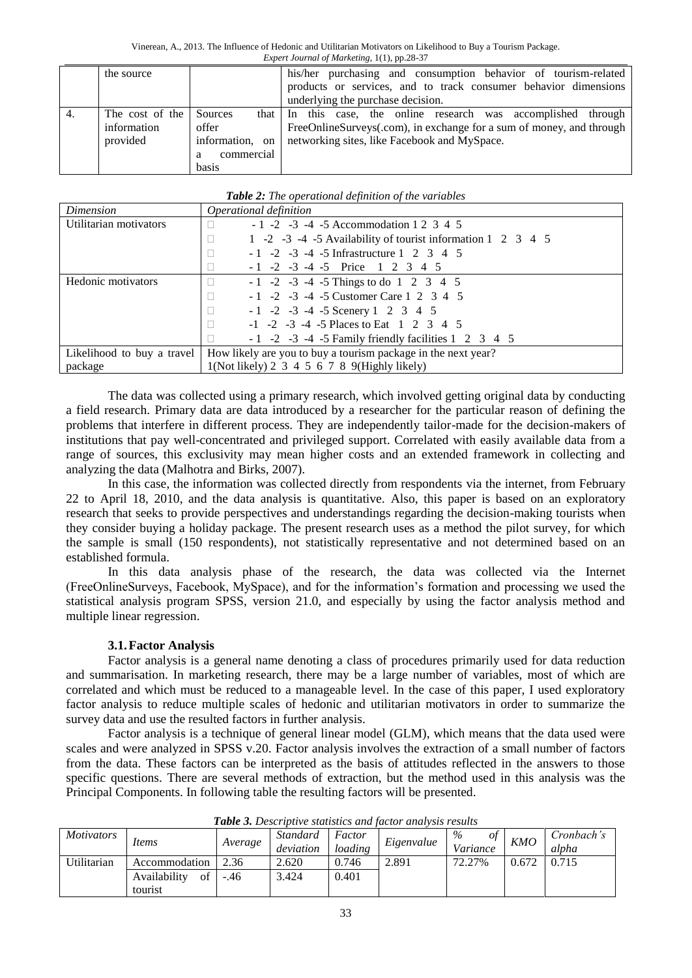|    | the source      |                 | his/her purchasing and consumption behavior of tourism-related       |
|----|-----------------|-----------------|----------------------------------------------------------------------|
|    |                 |                 | products or services, and to track consumer behavior dimensions      |
|    |                 |                 | underlying the purchase decision.                                    |
| 4. | The cost of the | Sources         | that I In this case, the online research was accomplished through    |
|    | information     | offer           | FreeOnlineSurveys(.com), in exchange for a sum of money, and through |
|    | provided        | information, on | networking sites, like Facebook and MySpace.                         |
|    |                 | commercial<br>a |                                                                      |
|    |                 | basis           |                                                                      |

|  | Table 2: The operational definition of the variables |  |  |
|--|------------------------------------------------------|--|--|
|  |                                                      |  |  |

| Dimension                  | Operational definition                                        |
|----------------------------|---------------------------------------------------------------|
| Utilitarian motivators     | $-1$ $-2$ $-3$ $-4$ $-5$ Accommodation 1 2 3 4 5              |
|                            | 1 -2 -3 -4 -5 Availability of tourist information 1 2 3 4 5   |
|                            | $-1$ $-2$ $-3$ $-4$ $-5$ Infrastructure 1 2 3 4 5             |
|                            | $-1$ $-2$ $-3$ $-4$ $-5$ Price 1 2 3 4 5                      |
| Hedonic motivators         | $-1$ $-2$ $-3$ $-4$ $-5$ Things to do 1 2 3 4 5               |
|                            | $-1$ $-2$ $-3$ $-4$ $-5$ Customer Care 1 2 3 4 5              |
|                            | $-1$ $-2$ $-3$ $-4$ $-5$ Scenery 1 2 3 4 5                    |
|                            | $-1$ $-2$ $-3$ $-4$ $-5$ Places to Eat 1 2 3 4 5              |
|                            | $-1$ $-2$ $-3$ $-4$ $-5$ Family friendly facilities 1 2 3 4 5 |
| Likelihood to buy a travel | How likely are you to buy a tourism package in the next year? |
| package                    | $1(Not likely) 2 3 4 5 6 7 8 9(Highly likely)$                |

The data was collected using a primary research, which involved getting original data by conducting a field research. Primary data are data introduced by a researcher for the particular reason of defining the problems that interfere in different process. They are independently tailor-made for the decision-makers of institutions that pay well-concentrated and privileged support. Correlated with easily available data from a range of sources, this exclusivity may mean higher costs and an extended framework in collecting and analyzing the data (Malhotra and Birks, 2007).

In this case, the information was collected directly from respondents via the internet, from February 22 to April 18, 2010, and the data analysis is quantitative. Also, this paper is based on an exploratory research that seeks to provide perspectives and understandings regarding the decision-making tourists when they consider buying a holiday package. The present research uses as a method the pilot survey, for which the sample is small (150 respondents), not statistically representative and not determined based on an established formula.

In this data analysis phase of the research, the data was collected via the Internet (FreeOnlineSurveys, Facebook, MySpace), and for the information's formation and processing we used the statistical analysis program SPSS, version 21.0, and especially by using the factor analysis method and multiple linear regression.

### **3.1.Factor Analysis**

Factor analysis is a general name denoting a class of procedures primarily used for data reduction and summarisation. In marketing research, there may be a large number of variables, most of which are correlated and which must be reduced to a manageable level. In the case of this paper, I used exploratory factor analysis to reduce multiple scales of hedonic and utilitarian motivators in order to summarize the survey data and use the resulted factors in further analysis.

Factor analysis is a technique of general linear model (GLM), which means that the data used were scales and were analyzed in SPSS v.20. Factor analysis involves the extraction of a small number of factors from the data. These factors can be interpreted as the basis of attitudes reflected in the answers to those specific questions. There are several methods of extraction, but the method used in this analysis was the Principal Components. In following table the resulting factors will be presented.

| <i>Motivators</i> |                    | Average | <b>Standard</b> | Factor  | Eigenvalue | $\%$<br>οt |            | Cronbach's |
|-------------------|--------------------|---------|-----------------|---------|------------|------------|------------|------------|
|                   | Items              |         |                 |         |            |            | <b>KMO</b> |            |
|                   |                    |         | deviation       | loading |            | Variance   |            | alpha      |
| Utilitarian       | Accommodation      | 2.36    | 2.620           | 0.746   | 2.891      | 72.27%     | 0.672      | 0.715      |
|                   |                    |         |                 |         |            |            |            |            |
|                   | Availability<br>οt | $-.46$  | 3.424           | 0.401   |            |            |            |            |
|                   | tourist            |         |                 |         |            |            |            |            |

*Table 3. Descriptive statistics and factor analysis results*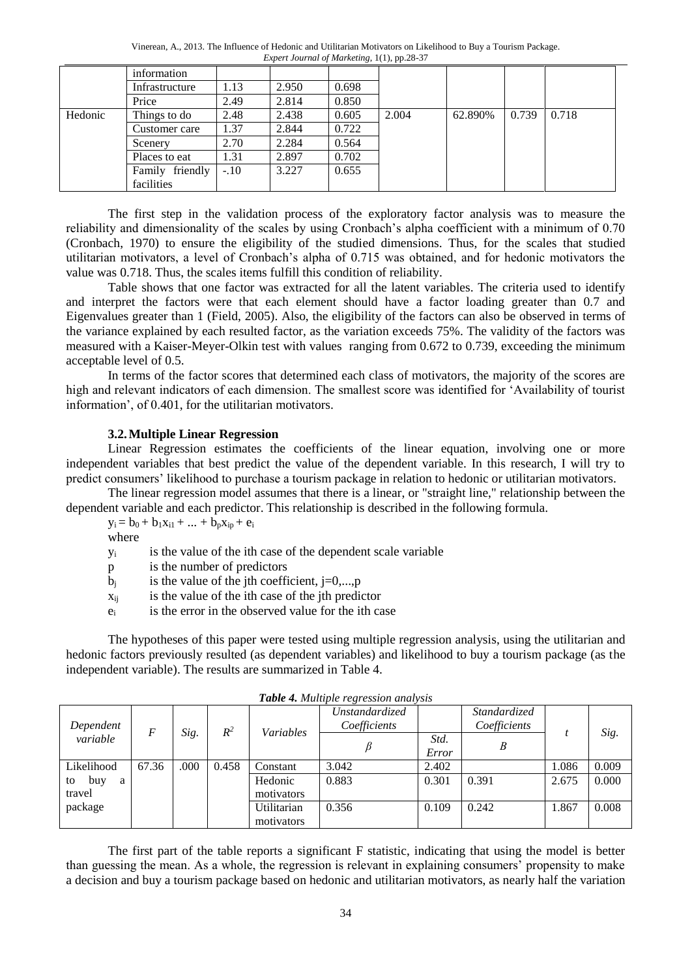Vinerean, A., 2013. The Influence of Hedonic and Utilitarian Motivators on Likelihood to Buy a Tourism Package. *Expert Journal of Marketing*, 1(1), pp.28-37

|         | information        |        |       |       |       |         |       |       |
|---------|--------------------|--------|-------|-------|-------|---------|-------|-------|
|         | Infrastructure     | 1.13   | 2.950 | 0.698 |       |         |       |       |
|         | Price              | 2.49   | 2.814 | 0.850 |       |         |       |       |
| Hedonic | Things to do       | 2.48   | 2.438 | 0.605 | 2.004 | 62.890% | 0.739 | 0.718 |
|         | Customer care      | 1.37   | 2.844 | 0.722 |       |         |       |       |
|         | Scenery            | 2.70   | 2.284 | 0.564 |       |         |       |       |
|         | Places to eat      | 1.31   | 2.897 | 0.702 |       |         |       |       |
|         | friendly<br>Family | $-.10$ | 3.227 | 0.655 |       |         |       |       |
|         | facilities         |        |       |       |       |         |       |       |

The first step in the validation process of the exploratory factor analysis was to measure the reliability and dimensionality of the scales by using Cronbach's alpha coefficient with a minimum of 0.70 (Cronbach, 1970) to ensure the eligibility of the studied dimensions. Thus, for the scales that studied utilitarian motivators, a level of Cronbach's alpha of 0.715 was obtained, and for hedonic motivators the value was 0.718. Thus, the scales items fulfill this condition of reliability.

Table shows that one factor was extracted for all the latent variables. The criteria used to identify and interpret the factors were that each element should have a factor loading greater than 0.7 and Eigenvalues greater than 1 (Field, 2005). Also, the eligibility of the factors can also be observed in terms of the variance explained by each resulted factor, as the variation exceeds 75%. The validity of the factors was measured with a Kaiser-Meyer-Olkin test with values ranging from 0.672 to 0.739, exceeding the minimum acceptable level of 0.5.

In terms of the factor scores that determined each class of motivators, the majority of the scores are high and relevant indicators of each dimension. The smallest score was identified for 'Availability of tourist information', of 0.401, for the utilitarian motivators.

#### **3.2.Multiple Linear Regression**

Linear Regression estimates the coefficients of the linear equation, involving one or more independent variables that best predict the value of the dependent variable. In this research, I will try to predict consumers' likelihood to purchase a tourism package in relation to hedonic or utilitarian motivators.

The linear regression model assumes that there is a linear, or "straight line," relationship between the dependent variable and each predictor. This relationship is described in the following formula.

 $y_i = b_0 + b_1x_{i1} + ... + b_px_{ip} + e_i$ 

where

y<sup>i</sup> is the value of the ith case of the dependent scale variable

- p is the number of predictors
- $b_i$  is the value of the jth coefficient, j=0,...,p
- $x_{ii}$  is the value of the ith case of the jth predictor
- $e_i$  is the error in the observed value for the ith case

The hypotheses of this paper were tested using multiple regression analysis, using the utilitarian and hedonic factors previously resulted (as dependent variables) and likelihood to buy a tourism package (as the independent variable). The results are summarized in Table 4.

| <b>Table 4.</b> Multiple regression and ysis |       |      |       |                           |                                |               |                              |       |       |
|----------------------------------------------|-------|------|-------|---------------------------|--------------------------------|---------------|------------------------------|-------|-------|
| Dependent                                    | F     |      | $R^2$ | <i>Variables</i>          | Unstandardized<br>Coefficients |               | Standardized<br>Coefficients |       |       |
| variable                                     |       | Sig. |       |                           |                                | Std.<br>Error | B                            |       | Sig.  |
| Likelihood                                   | 67.36 | .000 | 0.458 | Constant                  | 3.042                          | 2.402         |                              | 1.086 | 0.009 |
| buy<br>a<br>to<br>travel                     |       |      |       | Hedonic<br>motivators     | 0.883                          | 0.301         | 0.391                        | 2.675 | 0.000 |
| package                                      |       |      |       | Utilitarian<br>motivators | 0.356                          | 0.109         | 0.242                        | 1.867 | 0.008 |

|  | Table 4. Multiple regression analysis |  |
|--|---------------------------------------|--|
|  |                                       |  |

The first part of the table reports a significant F statistic, indicating that using the model is better than guessing the mean. As a whole, the regression is relevant in explaining consumers' propensity to make a decision and buy a tourism package based on hedonic and utilitarian motivators, as nearly half the variation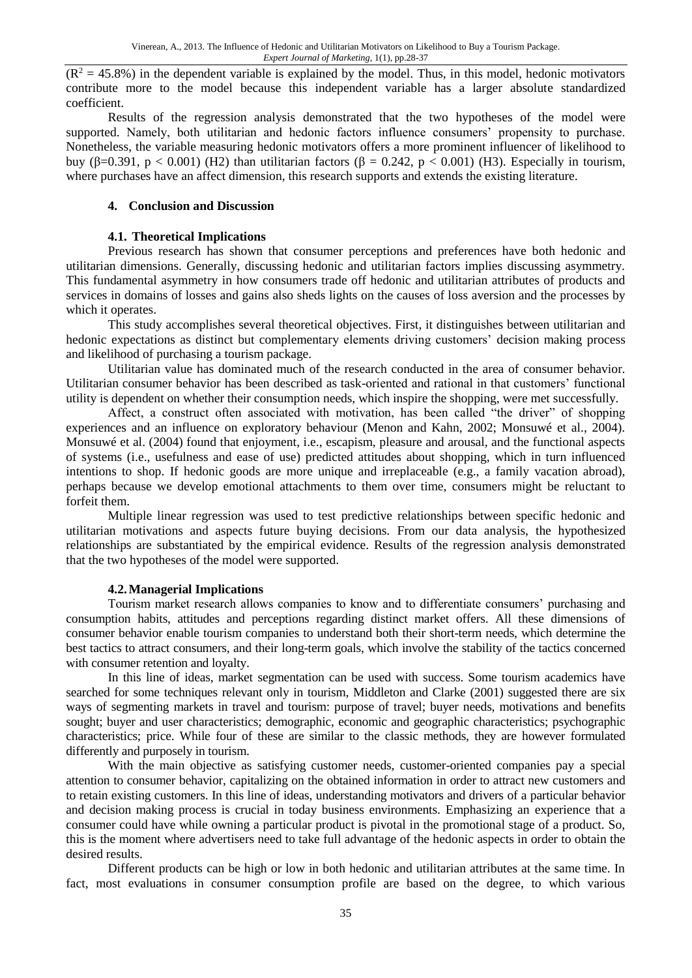$(R^2 = 45.8\%)$  in the dependent variable is explained by the model. Thus, in this model, hedonic motivators contribute more to the model because this independent variable has a larger absolute standardized coefficient.

Results of the regression analysis demonstrated that the two hypotheses of the model were supported. Namely, both utilitarian and hedonic factors influence consumers' propensity to purchase. Nonetheless, the variable measuring hedonic motivators offers a more prominent influencer of likelihood to buy (β=0.391, p < 0.001) (H2) than utilitarian factors (β = 0.242, p < 0.001) (H3). Especially in tourism, where purchases have an affect dimension, this research supports and extends the existing literature.

#### **4. Conclusion and Discussion**

#### **4.1. Theoretical Implications**

Previous research has shown that consumer perceptions and preferences have both hedonic and utilitarian dimensions. Generally, discussing hedonic and utilitarian factors implies discussing asymmetry. This fundamental asymmetry in how consumers trade off hedonic and utilitarian attributes of products and services in domains of losses and gains also sheds lights on the causes of loss aversion and the processes by which it operates.

This study accomplishes several theoretical objectives. First, it distinguishes between utilitarian and hedonic expectations as distinct but complementary elements driving customers' decision making process and likelihood of purchasing a tourism package.

Utilitarian value has dominated much of the research conducted in the area of consumer behavior. Utilitarian consumer behavior has been described as task-oriented and rational in that customers' functional utility is dependent on whether their consumption needs, which inspire the shopping, were met successfully.

Affect, a construct often associated with motivation, has been called "the driver" of shopping experiences and an influence on exploratory behaviour (Menon and Kahn, 2002; Monsuwé et al., 2004). Monsuwé et al. (2004) found that enjoyment, i.e., escapism, pleasure and arousal, and the functional aspects of systems (i.e., usefulness and ease of use) predicted attitudes about shopping, which in turn influenced intentions to shop. If hedonic goods are more unique and irreplaceable (e.g., a family vacation abroad), perhaps because we develop emotional attachments to them over time, consumers might be reluctant to forfeit them.

Multiple linear regression was used to test predictive relationships between specific hedonic and utilitarian motivations and aspects future buying decisions. From our data analysis, the hypothesized relationships are substantiated by the empirical evidence. Results of the regression analysis demonstrated that the two hypotheses of the model were supported.

#### **4.2.Managerial Implications**

Tourism market research allows companies to know and to differentiate consumers' purchasing and consumption habits, attitudes and perceptions regarding distinct market offers. All these dimensions of consumer behavior enable tourism companies to understand both their short-term needs, which determine the best tactics to attract consumers, and their long-term goals, which involve the stability of the tactics concerned with consumer retention and loyalty.

In this line of ideas, market segmentation can be used with success. Some tourism academics have searched for some techniques relevant only in tourism, Middleton and Clarke (2001) suggested there are six ways of segmenting markets in travel and tourism: purpose of travel; buyer needs, motivations and benefits sought; buyer and user characteristics; demographic, economic and geographic characteristics; psychographic characteristics; price. While four of these are similar to the classic methods, they are however formulated differently and purposely in tourism.

With the main objective as satisfying customer needs, customer-oriented companies pay a special attention to consumer behavior, capitalizing on the obtained information in order to attract new customers and to retain existing customers. In this line of ideas, understanding motivators and drivers of a particular behavior and decision making process is crucial in today business environments. Emphasizing an experience that a consumer could have while owning a particular product is pivotal in the promotional stage of a product. So, this is the moment where advertisers need to take full advantage of the hedonic aspects in order to obtain the desired results.

Different products can be high or low in both hedonic and utilitarian attributes at the same time. In fact, most evaluations in consumer consumption profile are based on the degree, to which various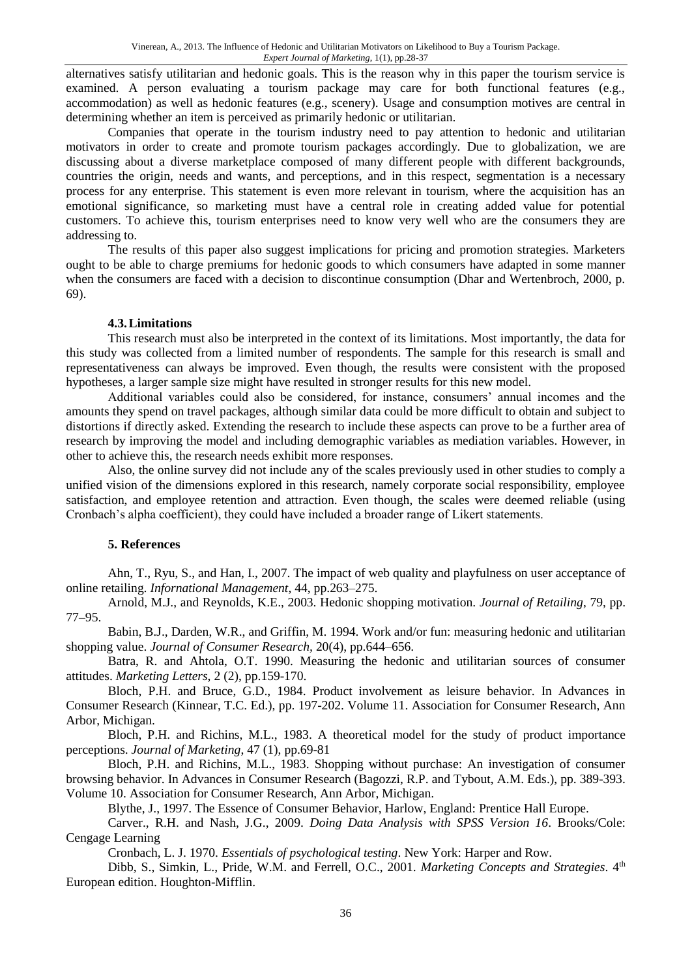alternatives satisfy utilitarian and hedonic goals. This is the reason why in this paper the tourism service is examined. A person evaluating a tourism package may care for both functional features (e.g., accommodation) as well as hedonic features (e.g., scenery). Usage and consumption motives are central in determining whether an item is perceived as primarily hedonic or utilitarian.

Companies that operate in the tourism industry need to pay attention to hedonic and utilitarian motivators in order to create and promote tourism packages accordingly. Due to globalization, we are discussing about a diverse marketplace composed of many different people with different backgrounds, countries the origin, needs and wants, and perceptions, and in this respect, segmentation is a necessary process for any enterprise. This statement is even more relevant in tourism, where the acquisition has an emotional significance, so marketing must have a central role in creating added value for potential customers. To achieve this, tourism enterprises need to know very well who are the consumers they are addressing to.

The results of this paper also suggest implications for pricing and promotion strategies. Marketers ought to be able to charge premiums for hedonic goods to which consumers have adapted in some manner when the consumers are faced with a decision to discontinue consumption (Dhar and Wertenbroch, 2000, p. 69).

#### **4.3.Limitations**

This research must also be interpreted in the context of its limitations. Most importantly, the data for this study was collected from a limited number of respondents. The sample for this research is small and representativeness can always be improved. Even though, the results were consistent with the proposed hypotheses, a larger sample size might have resulted in stronger results for this new model.

Additional variables could also be considered, for instance, consumers' annual incomes and the amounts they spend on travel packages, although similar data could be more difficult to obtain and subject to distortions if directly asked. Extending the research to include these aspects can prove to be a further area of research by improving the model and including demographic variables as mediation variables. However, in other to achieve this, the research needs exhibit more responses.

Also, the online survey did not include any of the scales previously used in other studies to comply a unified vision of the dimensions explored in this research, namely corporate social responsibility, employee satisfaction, and employee retention and attraction. Even though, the scales were deemed reliable (using Cronbach's alpha coefficient), they could have included a broader range of Likert statements.

### **5. References**

Ahn, T., Ryu, S., and Han, I., 2007. The impact of web quality and playfulness on user acceptance of online retailing. *Infornational Management*, 44, pp.263–275.

Arnold, M.J., and Reynolds, K.E., 2003. Hedonic shopping motivation. *Journal of Retailing*, 79, pp. 77–95.

Babin, B.J., Darden, W.R., and Griffin, M. 1994. Work and/or fun: measuring hedonic and utilitarian shopping value. *Journal of Consumer Research,* 20(4), pp.644–656.

Batra, R. and Ahtola, O.T. 1990. Measuring the hedonic and utilitarian sources of consumer attitudes. *Marketing Letters*, 2 (2), pp.159-170.

Bloch, P.H. and Bruce, G.D., 1984. Product involvement as leisure behavior. In Advances in Consumer Research (Kinnear, T.C. Ed.), pp. 197-202. Volume 11. Association for Consumer Research, Ann Arbor, Michigan.

Bloch, P.H. and Richins, M.L., 1983. A theoretical model for the study of product importance perceptions. *Journal of Marketing*, 47 (1), pp.69-81

Bloch, P.H. and Richins, M.L., 1983. Shopping without purchase: An investigation of consumer browsing behavior. In Advances in Consumer Research (Bagozzi, R.P. and Tybout, A.M. Eds.), pp. 389-393. Volume 10. Association for Consumer Research, Ann Arbor, Michigan.

Blythe, J., 1997. The Essence of Consumer Behavior, Harlow, England: Prentice Hall Europe.

Carver., R.H. and Nash, J.G., 2009. *Doing Data Analysis with SPSS Version 16*. Brooks/Cole: Cengage Learning

Cronbach, L. J. 1970. *Essentials of psychological testing*. New York: Harper and Row.

Dibb, S., Simkin, L., Pride, W.M. and Ferrell, O.C., 2001. *Marketing Concepts and Strategies*. 4<sup>th</sup> European edition. Houghton-Mifflin.